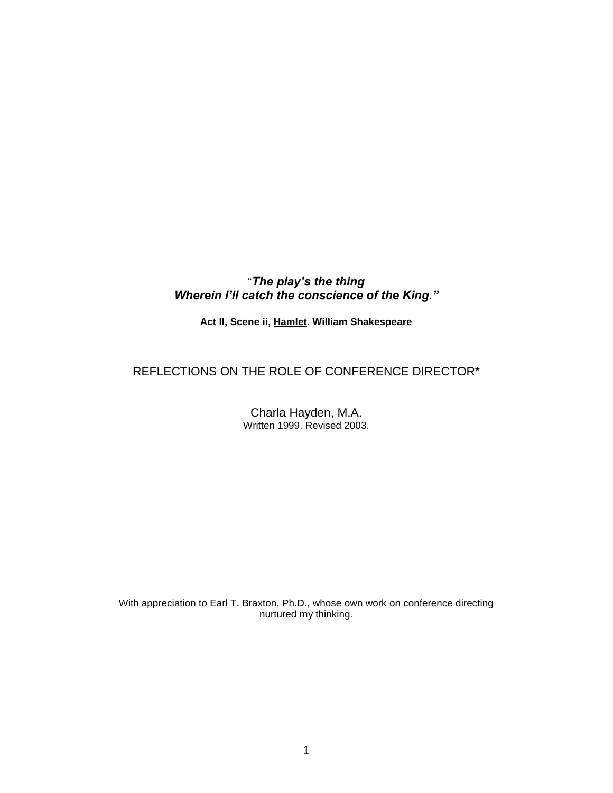## "*The play's the thing Wherein I'll catch the conscience of the King."*

**Act II, Scene ii, Hamlet. William Shakespeare**

# REFLECTIONS ON THE ROLE OF CONFERENCE DIRECTOR\*

Charla Hayden, M.A. Written 1999. Revised 2003.

With appreciation to Earl T. Braxton, Ph.D., whose own work on conference directing nurtured my thinking.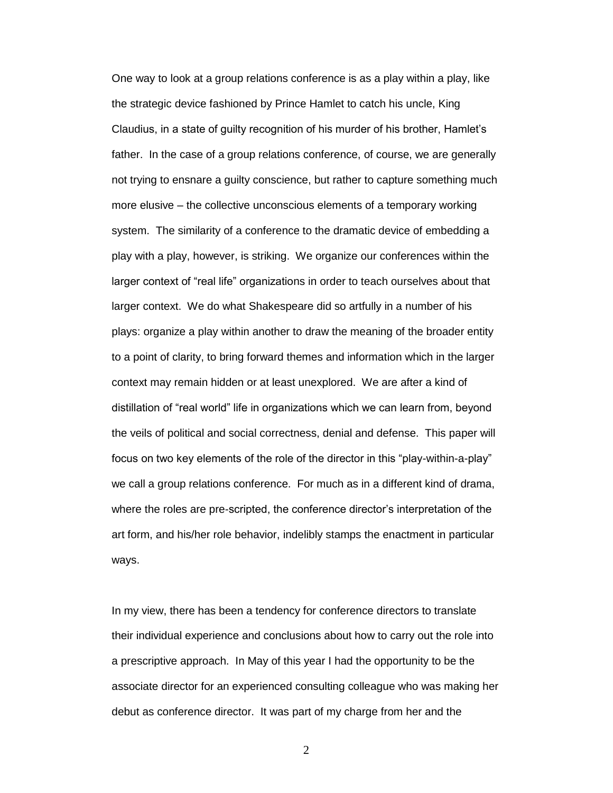One way to look at a group relations conference is as a play within a play, like the strategic device fashioned by Prince Hamlet to catch his uncle, King Claudius, in a state of guilty recognition of his murder of his brother, Hamlet's father. In the case of a group relations conference, of course, we are generally not trying to ensnare a guilty conscience, but rather to capture something much more elusive – the collective unconscious elements of a temporary working system. The similarity of a conference to the dramatic device of embedding a play with a play, however, is striking. We organize our conferences within the larger context of "real life" organizations in order to teach ourselves about that larger context. We do what Shakespeare did so artfully in a number of his plays: organize a play within another to draw the meaning of the broader entity to a point of clarity, to bring forward themes and information which in the larger context may remain hidden or at least unexplored. We are after a kind of distillation of "real world" life in organizations which we can learn from, beyond the veils of political and social correctness, denial and defense. This paper will focus on two key elements of the role of the director in this "play-within-a-play" we call a group relations conference. For much as in a different kind of drama, where the roles are pre-scripted, the conference director's interpretation of the art form, and his/her role behavior, indelibly stamps the enactment in particular ways.

In my view, there has been a tendency for conference directors to translate their individual experience and conclusions about how to carry out the role into a prescriptive approach. In May of this year I had the opportunity to be the associate director for an experienced consulting colleague who was making her debut as conference director. It was part of my charge from her and the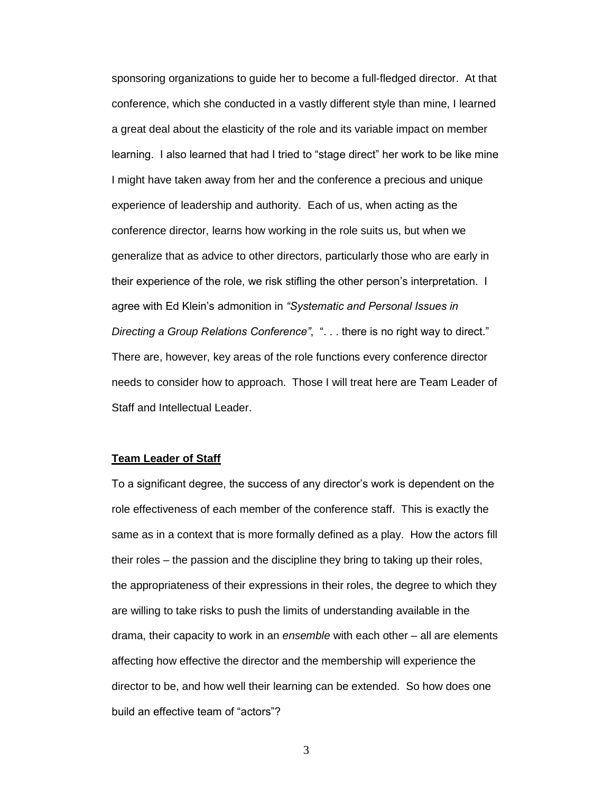sponsoring organizations to guide her to become a full-fledged director. At that conference, which she conducted in a vastly different style than mine, I learned a great deal about the elasticity of the role and its variable impact on member learning. I also learned that had I tried to "stage direct" her work to be like mine I might have taken away from her and the conference a precious and unique experience of leadership and authority. Each of us, when acting as the conference director, learns how working in the role suits us, but when we generalize that as advice to other directors, particularly those who are early in their experience of the role, we risk stifling the other person's interpretation. I agree with Ed Klein's admonition in *"Systematic and Personal Issues in Directing a Group Relations Conference"*, ". . . there is no right way to direct." There are, however, key areas of the role functions every conference director needs to consider how to approach. Those I will treat here are Team Leader of Staff and Intellectual Leader.

#### **Team Leader of Staff**

To a significant degree, the success of any director's work is dependent on the role effectiveness of each member of the conference staff. This is exactly the same as in a context that is more formally defined as a play. How the actors fill their roles – the passion and the discipline they bring to taking up their roles, the appropriateness of their expressions in their roles, the degree to which they are willing to take risks to push the limits of understanding available in the drama, their capacity to work in an *ensemble* with each other – all are elements affecting how effective the director and the membership will experience the director to be, and how well their learning can be extended. So how does one build an effective team of "actors"?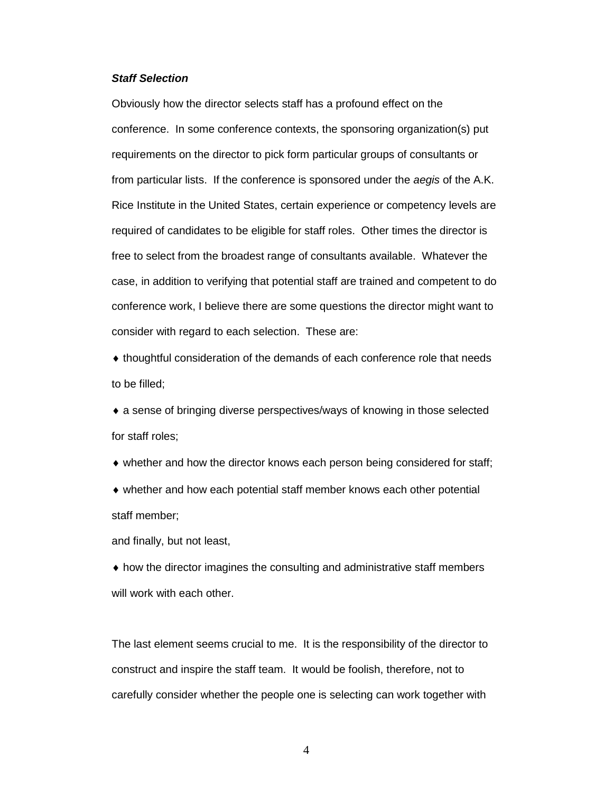#### *Staff Selection*

Obviously how the director selects staff has a profound effect on the conference. In some conference contexts, the sponsoring organization(s) put requirements on the director to pick form particular groups of consultants or from particular lists. If the conference is sponsored under the *aegis* of the A.K. Rice Institute in the United States, certain experience or competency levels are required of candidates to be eligible for staff roles. Other times the director is free to select from the broadest range of consultants available. Whatever the case, in addition to verifying that potential staff are trained and competent to do conference work, I believe there are some questions the director might want to consider with regard to each selection. These are:

 thoughtful consideration of the demands of each conference role that needs to be filled;

 a sense of bringing diverse perspectives/ways of knowing in those selected for staff roles;

• whether and how the director knows each person being considered for staff;

 whether and how each potential staff member knows each other potential staff member;

and finally, but not least,

 how the director imagines the consulting and administrative staff members will work with each other.

The last element seems crucial to me. It is the responsibility of the director to construct and inspire the staff team. It would be foolish, therefore, not to carefully consider whether the people one is selecting can work together with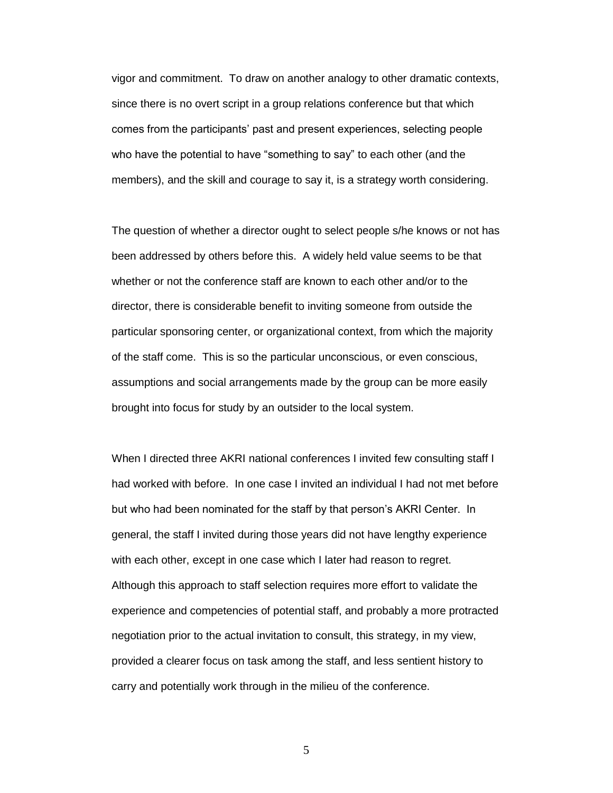vigor and commitment. To draw on another analogy to other dramatic contexts, since there is no overt script in a group relations conference but that which comes from the participants' past and present experiences, selecting people who have the potential to have "something to say" to each other (and the members), and the skill and courage to say it, is a strategy worth considering.

The question of whether a director ought to select people s/he knows or not has been addressed by others before this. A widely held value seems to be that whether or not the conference staff are known to each other and/or to the director, there is considerable benefit to inviting someone from outside the particular sponsoring center, or organizational context, from which the majority of the staff come. This is so the particular unconscious, or even conscious, assumptions and social arrangements made by the group can be more easily brought into focus for study by an outsider to the local system.

When I directed three AKRI national conferences I invited few consulting staff I had worked with before. In one case I invited an individual I had not met before but who had been nominated for the staff by that person's AKRI Center. In general, the staff I invited during those years did not have lengthy experience with each other, except in one case which I later had reason to regret. Although this approach to staff selection requires more effort to validate the experience and competencies of potential staff, and probably a more protracted negotiation prior to the actual invitation to consult, this strategy, in my view, provided a clearer focus on task among the staff, and less sentient history to carry and potentially work through in the milieu of the conference.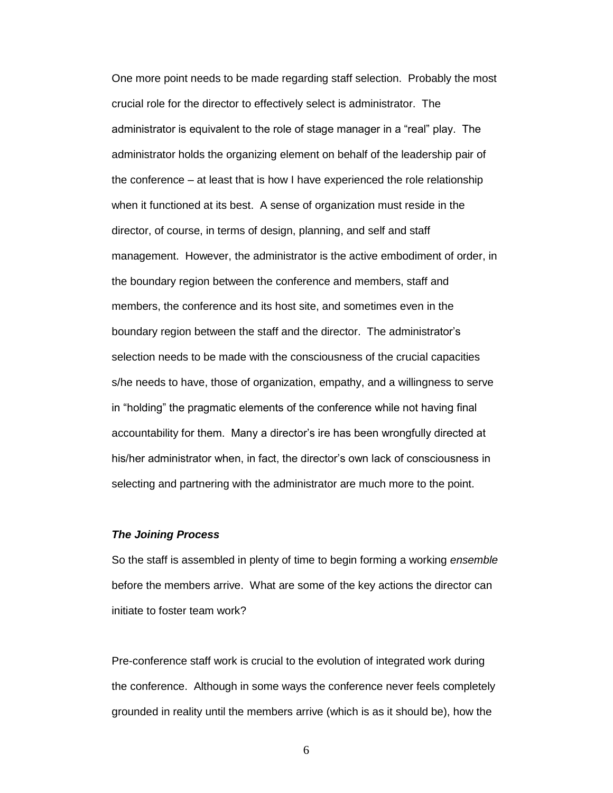One more point needs to be made regarding staff selection. Probably the most crucial role for the director to effectively select is administrator. The administrator is equivalent to the role of stage manager in a "real" play. The administrator holds the organizing element on behalf of the leadership pair of the conference – at least that is how I have experienced the role relationship when it functioned at its best. A sense of organization must reside in the director, of course, in terms of design, planning, and self and staff management. However, the administrator is the active embodiment of order, in the boundary region between the conference and members, staff and members, the conference and its host site, and sometimes even in the boundary region between the staff and the director. The administrator's selection needs to be made with the consciousness of the crucial capacities s/he needs to have, those of organization, empathy, and a willingness to serve in "holding" the pragmatic elements of the conference while not having final accountability for them. Many a director's ire has been wrongfully directed at his/her administrator when, in fact, the director's own lack of consciousness in selecting and partnering with the administrator are much more to the point.

#### *The Joining Process*

So the staff is assembled in plenty of time to begin forming a working *ensemble* before the members arrive. What are some of the key actions the director can initiate to foster team work?

Pre-conference staff work is crucial to the evolution of integrated work during the conference. Although in some ways the conference never feels completely grounded in reality until the members arrive (which is as it should be), how the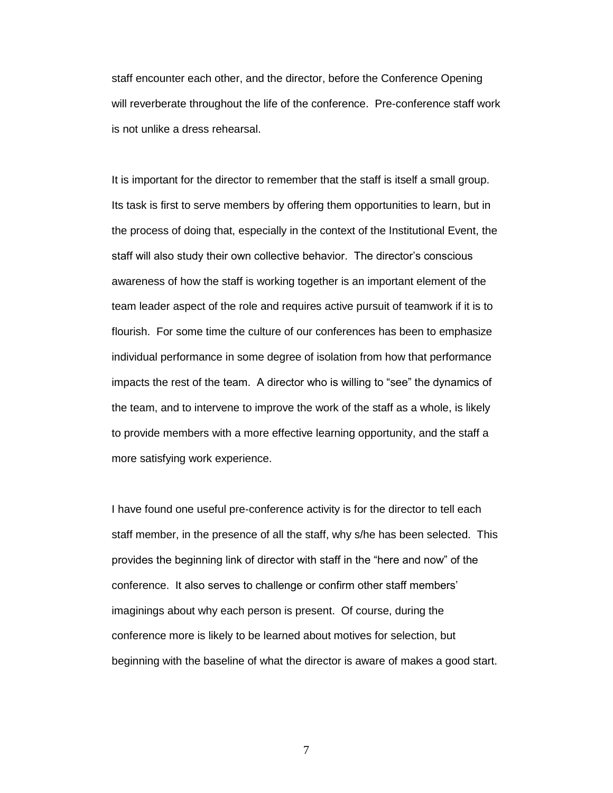staff encounter each other, and the director, before the Conference Opening will reverberate throughout the life of the conference. Pre-conference staff work is not unlike a dress rehearsal.

It is important for the director to remember that the staff is itself a small group. Its task is first to serve members by offering them opportunities to learn, but in the process of doing that, especially in the context of the Institutional Event, the staff will also study their own collective behavior. The director's conscious awareness of how the staff is working together is an important element of the team leader aspect of the role and requires active pursuit of teamwork if it is to flourish. For some time the culture of our conferences has been to emphasize individual performance in some degree of isolation from how that performance impacts the rest of the team. A director who is willing to "see" the dynamics of the team, and to intervene to improve the work of the staff as a whole, is likely to provide members with a more effective learning opportunity, and the staff a more satisfying work experience.

I have found one useful pre-conference activity is for the director to tell each staff member, in the presence of all the staff, why s/he has been selected. This provides the beginning link of director with staff in the "here and now" of the conference. It also serves to challenge or confirm other staff members' imaginings about why each person is present. Of course, during the conference more is likely to be learned about motives for selection, but beginning with the baseline of what the director is aware of makes a good start.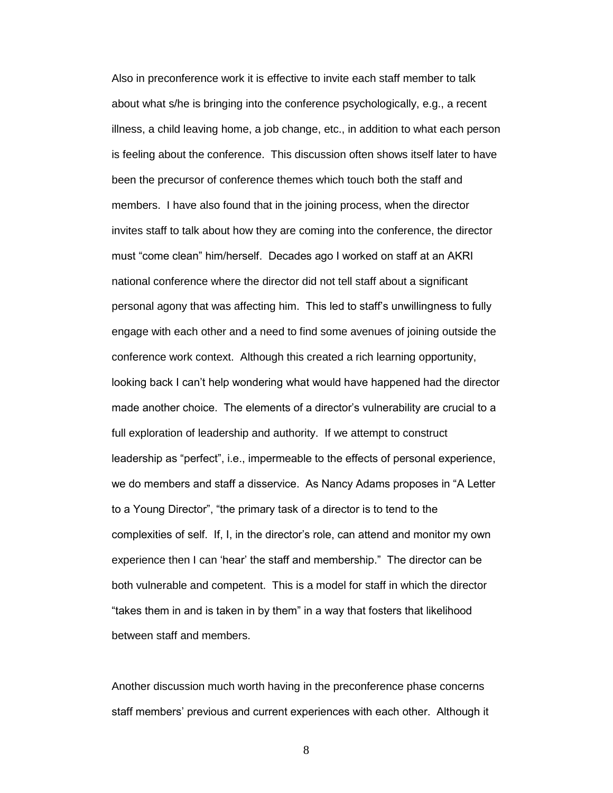Also in preconference work it is effective to invite each staff member to talk about what s/he is bringing into the conference psychologically, e.g., a recent illness, a child leaving home, a job change, etc., in addition to what each person is feeling about the conference. This discussion often shows itself later to have been the precursor of conference themes which touch both the staff and members. I have also found that in the joining process, when the director invites staff to talk about how they are coming into the conference, the director must "come clean" him/herself. Decades ago I worked on staff at an AKRI national conference where the director did not tell staff about a significant personal agony that was affecting him. This led to staff's unwillingness to fully engage with each other and a need to find some avenues of joining outside the conference work context. Although this created a rich learning opportunity, looking back I can't help wondering what would have happened had the director made another choice. The elements of a director's vulnerability are crucial to a full exploration of leadership and authority. If we attempt to construct leadership as "perfect", i.e., impermeable to the effects of personal experience, we do members and staff a disservice. As Nancy Adams proposes in "A Letter to a Young Director", "the primary task of a director is to tend to the complexities of self. If, I, in the director's role, can attend and monitor my own experience then I can 'hear' the staff and membership." The director can be both vulnerable and competent. This is a model for staff in which the director "takes them in and is taken in by them" in a way that fosters that likelihood between staff and members.

Another discussion much worth having in the preconference phase concerns staff members' previous and current experiences with each other. Although it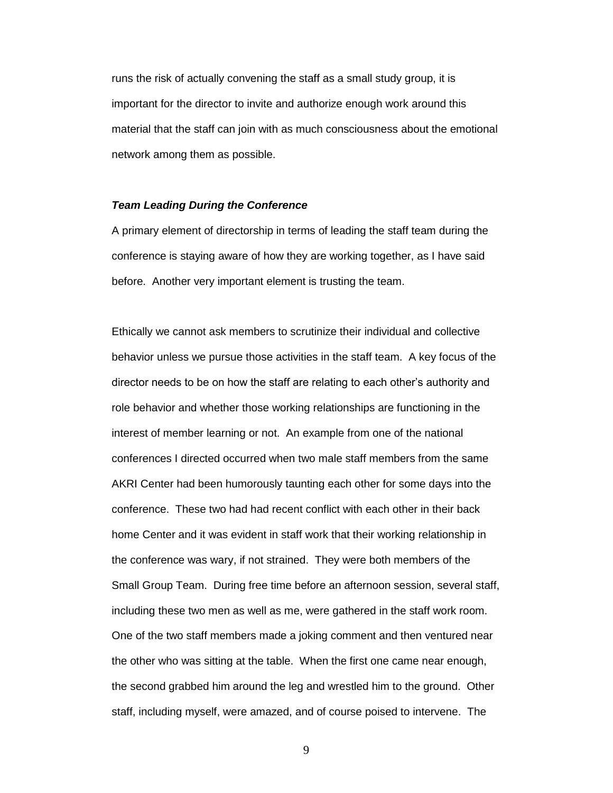runs the risk of actually convening the staff as a small study group, it is important for the director to invite and authorize enough work around this material that the staff can join with as much consciousness about the emotional network among them as possible.

#### *Team Leading During the Conference*

A primary element of directorship in terms of leading the staff team during the conference is staying aware of how they are working together, as I have said before. Another very important element is trusting the team.

Ethically we cannot ask members to scrutinize their individual and collective behavior unless we pursue those activities in the staff team. A key focus of the director needs to be on how the staff are relating to each other's authority and role behavior and whether those working relationships are functioning in the interest of member learning or not. An example from one of the national conferences I directed occurred when two male staff members from the same AKRI Center had been humorously taunting each other for some days into the conference. These two had had recent conflict with each other in their back home Center and it was evident in staff work that their working relationship in the conference was wary, if not strained. They were both members of the Small Group Team. During free time before an afternoon session, several staff, including these two men as well as me, were gathered in the staff work room. One of the two staff members made a joking comment and then ventured near the other who was sitting at the table. When the first one came near enough, the second grabbed him around the leg and wrestled him to the ground. Other staff, including myself, were amazed, and of course poised to intervene. The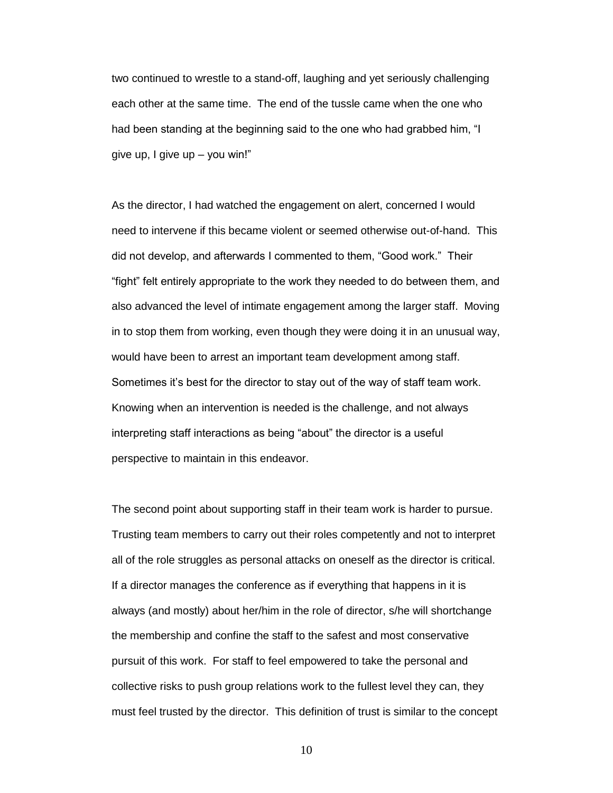two continued to wrestle to a stand-off, laughing and yet seriously challenging each other at the same time. The end of the tussle came when the one who had been standing at the beginning said to the one who had grabbed him, "I give up, I give up – you win!"

As the director, I had watched the engagement on alert, concerned I would need to intervene if this became violent or seemed otherwise out-of-hand. This did not develop, and afterwards I commented to them, "Good work." Their "fight" felt entirely appropriate to the work they needed to do between them, and also advanced the level of intimate engagement among the larger staff. Moving in to stop them from working, even though they were doing it in an unusual way, would have been to arrest an important team development among staff. Sometimes it's best for the director to stay out of the way of staff team work. Knowing when an intervention is needed is the challenge, and not always interpreting staff interactions as being "about" the director is a useful perspective to maintain in this endeavor.

The second point about supporting staff in their team work is harder to pursue. Trusting team members to carry out their roles competently and not to interpret all of the role struggles as personal attacks on oneself as the director is critical. If a director manages the conference as if everything that happens in it is always (and mostly) about her/him in the role of director, s/he will shortchange the membership and confine the staff to the safest and most conservative pursuit of this work. For staff to feel empowered to take the personal and collective risks to push group relations work to the fullest level they can, they must feel trusted by the director. This definition of trust is similar to the concept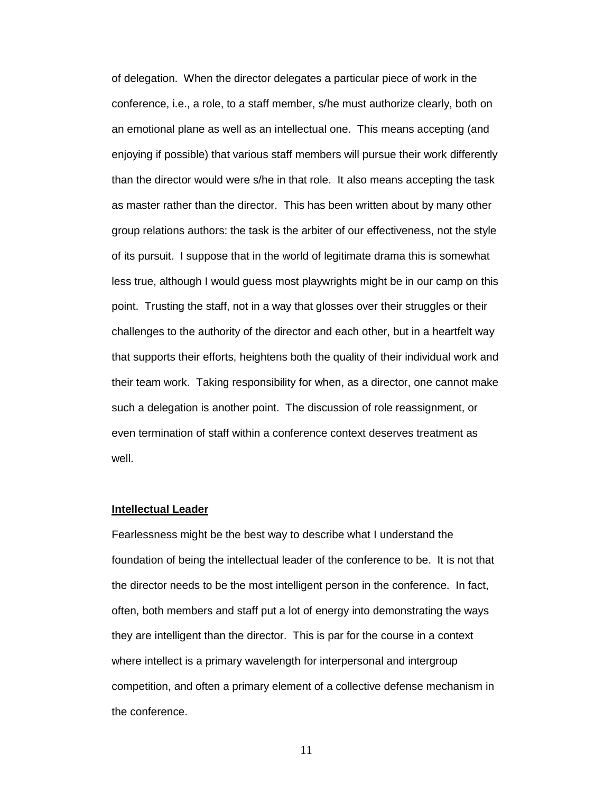of delegation. When the director delegates a particular piece of work in the conference, i.e., a role, to a staff member, s/he must authorize clearly, both on an emotional plane as well as an intellectual one. This means accepting (and enjoying if possible) that various staff members will pursue their work differently than the director would were s/he in that role. It also means accepting the task as master rather than the director. This has been written about by many other group relations authors: the task is the arbiter of our effectiveness, not the style of its pursuit. I suppose that in the world of legitimate drama this is somewhat less true, although I would guess most playwrights might be in our camp on this point. Trusting the staff, not in a way that glosses over their struggles or their challenges to the authority of the director and each other, but in a heartfelt way that supports their efforts, heightens both the quality of their individual work and their team work. Taking responsibility for when, as a director, one cannot make such a delegation is another point. The discussion of role reassignment, or even termination of staff within a conference context deserves treatment as well.

#### **Intellectual Leader**

Fearlessness might be the best way to describe what I understand the foundation of being the intellectual leader of the conference to be. It is not that the director needs to be the most intelligent person in the conference. In fact, often, both members and staff put a lot of energy into demonstrating the ways they are intelligent than the director. This is par for the course in a context where intellect is a primary wavelength for interpersonal and intergroup competition, and often a primary element of a collective defense mechanism in the conference.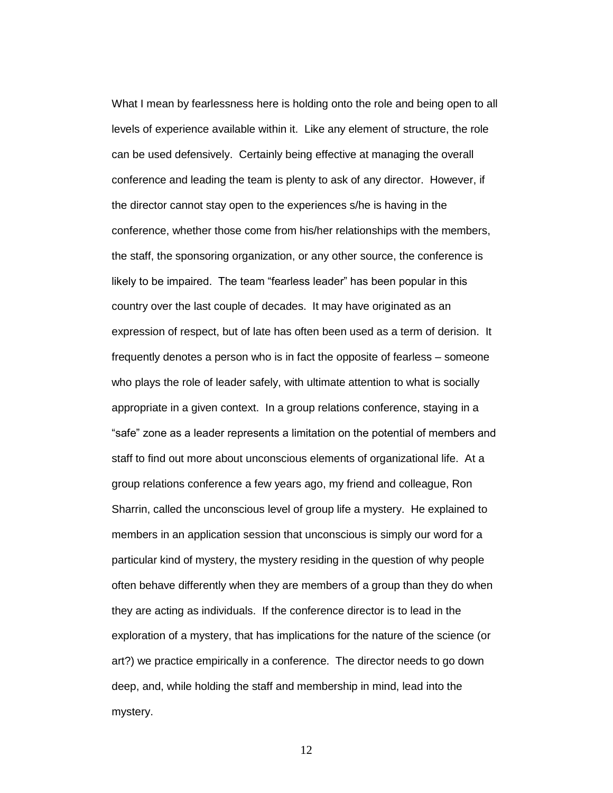What I mean by fearlessness here is holding onto the role and being open to all levels of experience available within it. Like any element of structure, the role can be used defensively. Certainly being effective at managing the overall conference and leading the team is plenty to ask of any director. However, if the director cannot stay open to the experiences s/he is having in the conference, whether those come from his/her relationships with the members, the staff, the sponsoring organization, or any other source, the conference is likely to be impaired. The team "fearless leader" has been popular in this country over the last couple of decades. It may have originated as an expression of respect, but of late has often been used as a term of derision. It frequently denotes a person who is in fact the opposite of fearless – someone who plays the role of leader safely, with ultimate attention to what is socially appropriate in a given context. In a group relations conference, staying in a "safe" zone as a leader represents a limitation on the potential of members and staff to find out more about unconscious elements of organizational life. At a group relations conference a few years ago, my friend and colleague, Ron Sharrin, called the unconscious level of group life a mystery. He explained to members in an application session that unconscious is simply our word for a particular kind of mystery, the mystery residing in the question of why people often behave differently when they are members of a group than they do when they are acting as individuals. If the conference director is to lead in the exploration of a mystery, that has implications for the nature of the science (or art?) we practice empirically in a conference. The director needs to go down deep, and, while holding the staff and membership in mind, lead into the mystery.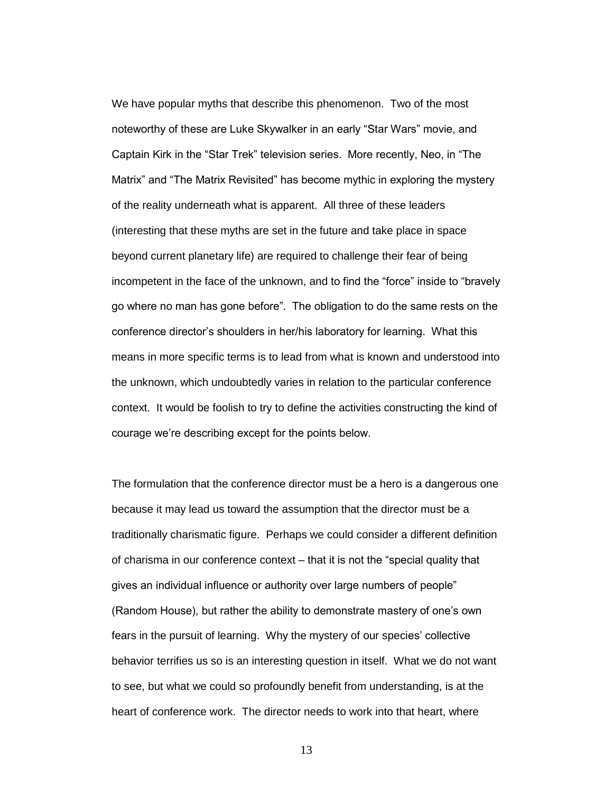We have popular myths that describe this phenomenon. Two of the most noteworthy of these are Luke Skywalker in an early "Star Wars" movie, and Captain Kirk in the "Star Trek" television series. More recently, Neo, in "The Matrix" and "The Matrix Revisited" has become mythic in exploring the mystery of the reality underneath what is apparent. All three of these leaders (interesting that these myths are set in the future and take place in space beyond current planetary life) are required to challenge their fear of being incompetent in the face of the unknown, and to find the "force" inside to "bravely go where no man has gone before". The obligation to do the same rests on the conference director's shoulders in her/his laboratory for learning. What this means in more specific terms is to lead from what is known and understood into the unknown, which undoubtedly varies in relation to the particular conference context. It would be foolish to try to define the activities constructing the kind of courage we're describing except for the points below.

The formulation that the conference director must be a hero is a dangerous one because it may lead us toward the assumption that the director must be a traditionally charismatic figure. Perhaps we could consider a different definition of charisma in our conference context – that it is not the "special quality that gives an individual influence or authority over large numbers of people" (Random House), but rather the ability to demonstrate mastery of one's own fears in the pursuit of learning. Why the mystery of our species' collective behavior terrifies us so is an interesting question in itself. What we do not want to see, but what we could so profoundly benefit from understanding, is at the heart of conference work. The director needs to work into that heart, where